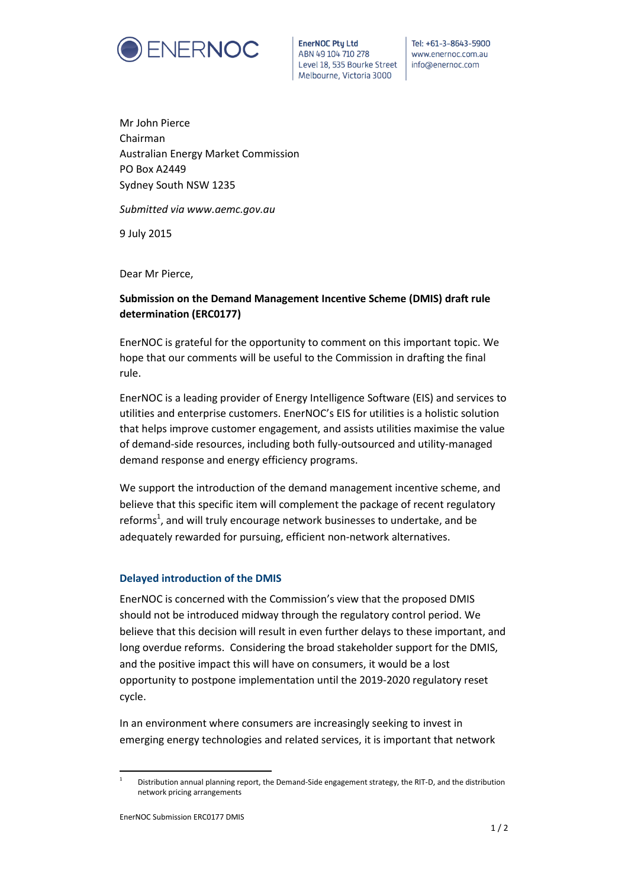

**EnerNOC Ptu Ltd** ABN 49 104 710 278 Level 18, 535 Bourke Street Melbourne, Victoria 3000

Tel: +61-3-8643-5900 www.enernoc.com.au info@enernoc.com

Mr John Pierce Chairman Australian Energy Market Commission PO Box A2449 Sydney South NSW 1235

*Submitted via www.aemc.gov.au*

9 July 2015

Dear Mr Pierce,

## **Submission on the Demand Management Incentive Scheme (DMIS) draft rule determination (ERC0177)**

EnerNOC is grateful for the opportunity to comment on this important topic. We hope that our comments will be useful to the Commission in drafting the final rule.

EnerNOC is a leading provider of Energy Intelligence Software (EIS) and services to utilities and enterprise customers. EnerNOC's EIS for utilities is a holistic solution that helps improve customer engagement, and assists utilities maximise the value of demand-side resources, including both fully-outsourced and utility-managed demand response and energy efficiency programs.

We support the introduction of the demand management incentive scheme, and believe that this specific item will complement the package of recent regulatory reforms<sup>1</sup>, and will truly encourage network businesses to undertake, and be adequately rewarded for pursuing, efficient non-network alternatives.

## **Delayed introduction of the DMIS**

EnerNOC is concerned with the Commission's view that the proposed DMIS should not be introduced midway through the regulatory control period. We believe that this decision will result in even further delays to these important, and long overdue reforms. Considering the broad stakeholder support for the DMIS, and the positive impact this will have on consumers, it would be a lost opportunity to postpone implementation until the 2019-2020 regulatory reset cycle.

In an environment where consumers are increasingly seeking to invest in emerging energy technologies and related services, it is important that network

 $\overline{a}$ 

<sup>1</sup> Distribution annual planning report, the Demand-Side engagement strategy, the RIT-D, and the distribution network pricing arrangements